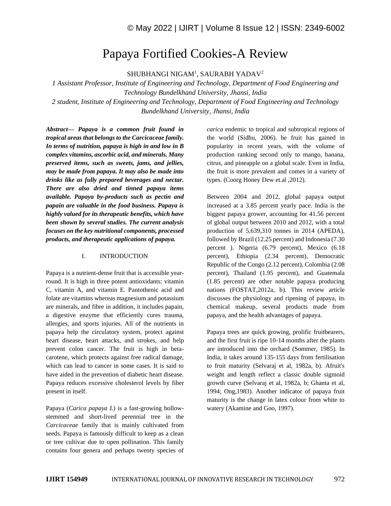# Papaya Fortified Cookies-A Review

SHUBHANGI NIGAM<sup>1</sup>, SAURABH YADAV<sup>2</sup>

*1 Assistant Professor, Institute of Engineering and Technology, Department of Food Engineering and Technology Bundelkhand University, Jhansi, India 2 student, Institute of Engineering and Technology, Department of Food Engineering and Technology* 

*Bundelkhand University, Jhansi, India*

*Abstract— Papaya is a common fruit found in tropical areas that belongs to the Carcicaceae family. In terms of nutrition, papaya is high in and low in B complex vitamins, ascorbic acid, and minerals. Many preserved items, such as sweets, jams, and jellies, may be made from papaya. It may also be made into drinks like as fully prepared beverages and nectar. There are also dried and tinned papaya items available. Papaya by-products such as pectin and papain are valuable in the food business. Papaya is highly valued for its therapeutic benefits, which have been shown by several studies. The current analysis focuses on the key nutritional components, processed products, and therapeutic applications of papaya.*

#### I. INTRODUCTION

Papaya is a nutrient-dense fruit that is accessible yearround. It is high in three potent antioxidants: vitamin C, vitamin A, and vitamin E. Pantothenic acid and folate are vitamins whereas magnesium and potassium are minerals, and fibre in addition, it includes papain, a digestive enzyme that efficiently cures trauma, allergies, and sports injuries. All of the nutrients in papaya help the circulatory system, protect against heart disease, heart attacks, and strokes, and help prevent colon cancer. The fruit is high in betacarotene, which protects against free radical damage, which can lead to cancer in some cases. It is said to have aided in the prevention of diabetic heart disease. Papaya reduces excessive cholesterol levels by fiber present in itself.

Papaya (*Carica papaya L*) is a fast-growing hollowstemmed and short-lived perennial tree in the *Carcicaceae* family that is mainly cultivated from seeds. Papaya is famously difficult to keep as a clean or tree cultivar due to open pollination. This family contains four genera and perhaps twenty species of *carica* endemic to tropical and subtropical regions of the world (Sidhu, 2006). he fruit has gained in popularity in recent years, with the volume of production ranking second only to mango, banana, citrus, and pineapple on a global scale. Even in India, the fruit is more prevalent and comes in a variety of types. (Coorg Honey Dew et.al ,2012).

Between 2004 and 2012, global papaya output increased at a 3.85 percent yearly pace. India is the biggest papaya grower, accounting for 41.56 percent of global output between 2010 and 2012, with a total production of 5,639,310 tonnes in 2014 (APEDA), followed by Brazil (12.25 percent) and Indonesia (7.30 percent ). Nigeria (6.79 percent), Mexico (6.18 percent), Ethiopia (2.34 percent), Democratic Republic of the Congo (2.12 percent), Colombia (2.08 percent), Thailand (1.95 percent), and Guatemala (1.85 percent) are other notable papaya producing nations (FOSTAT,2012a, b). This review article discusses the physiology and ripening of papaya, its chemical makeup, several products made from papaya, and the health advantages of papaya.

Papaya trees are quick growing, prolific fruitbearers, and the first fruit is ripe 10-14 months after the plants are introduced into the orchard (Sommer, 1985). In India, it takes around 135-155 days from fertilisation to fruit maturity (Selvaraj et al, 1982a, b). Afruit's weight and length reflect a classic double sigmoid growth curve (Selvaraj et al, 1982a, b; Ghanta et al, 1994; Ong,1983). Another indicator of papaya fruit maturity is the change in latex colour from white to watery (Akamine and Goo, 1997).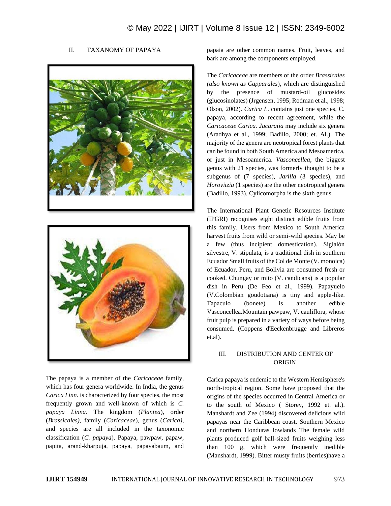#### II. TAXANOMY OF PAPAYA





The papaya is a member of the *Caricaceae* family, which has four genera worldwide. In India, the genus *Carica Linn.* is characterized by four species, the most frequently grown and well-known of which is *C. papaya Linna*. The kingdom (*Plantea*), order (*Brassicales)*, family (*Caricaceae*), genus (*Carica)*, and species are all included in the taxonomic classification (*C. papaya*). Papaya, pawpaw, papaw, papita, arand-kharpuja, papaya, papayabaum, and papaia are other common names. Fruit, leaves, and bark are among the components employed.

The *Caricaceae* are members of the order *Brassicales (also known as Capparales*), which are distinguished by the presence of mustard-oil glucosides (glucosinolates) (Jrgensen, 1995; Rodman et al., 1998; Olson, 2002). *Carica L*. contains just one species, C. papaya, according to recent agreement, while the *Caricaceae Carica. Jacaratia* may include six genera (Aradhya et al., 1999; Badillo, 2000; et. Al.). The majority of the genera are neotropical forest plants that can be found in both South America and Mesoamerica, or just in Mesoamerica. *Vasconcellea*, the biggest genus with 21 species, was formerly thought to be a subgenus of (7 species), *Jarilla* (3 species), and *Horovitzia* (1 species) are the other neotropical genera (Badillo, 1993). Cylicomorpha is the sixth genus.

The International Plant Genetic Resources Institute (IPGRI) recognises eight distinct edible fruits from this family. Users from Mexico to South America harvest fruits from wild or semi-wild species. May be a few (thus incipient domestication). Siglalón silvestre, V. stipulata, is a traditional dish in southern Ecuador Small fruits of the Col de Monte (V. monoica) of Ecuador, Peru, and Bolivia are consumed fresh or cooked. Chungay or mito (V. candicans) is a popular dish in Peru (De Feo et al., 1999). Papayuelo (V.Colombian goudotiana) is tiny and apple-like. Tapaculo (bonete) is another edible Vasconcellea.Mountain pawpaw, V. cauliflora, whose fruit pulp is prepared in a variety of ways before being consumed. (Coppens d'Eeckenbrugge and Libreros et.al).

#### III. DISTRIBUTION AND CENTER OF ORIGIN

Carica papaya is endemic to the Western Hemisphere's north-tropical region. Some have proposed that the origins of the species occurred in Central America or to the south of Mexico ( Storey, 1992 et. al.). Manshardt and Zee (1994) discovered delicious wild papayas near the Caribbean coast. Southern Mexico and northern Honduras lowlands The female wild plants produced golf ball-sized fruits weighing less than 100 g, which were frequently inedible (Manshardt, 1999). Bitter musty fruits (berries)have a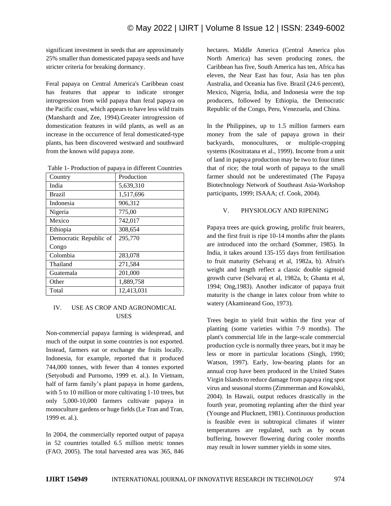significant investment in seeds that are approximately 25% smaller than domesticated papaya seeds and have stricter criteria for breaking dormancy.

Feral papaya on Central America's Caribbean coast has features that appear to indicate stronger introgression from wild papaya than feral papaya on the Pacific coast, which appears to have less wild traits (Manshardt and Zee, 1994).Greater introgression of domestication features in wild plants, as well as an increase in the occurrence of feral domesticated-type plants, has been discovered westward and southward from the known wild papaya zone.

| Table 1- Production of papaya in different Countries |  |  |  |
|------------------------------------------------------|--|--|--|
|------------------------------------------------------|--|--|--|

| Country                | Production |
|------------------------|------------|
| India                  | 5,639,310  |
| <b>Brazil</b>          | 1,517,696  |
| Indonesia              | 906,312    |
| Nigeria                | 775,00     |
| Mexico                 | 742,017    |
| Ethiopia               | 308,654    |
| Democratic Republic of | 295,770    |
| Congo                  |            |
| Colombia               | 283,078    |
| Thailand               | 271,584    |
| Guatemala              | 201,000    |
| Other                  | 1,889,758  |
| Total                  | 12,413,031 |

### IV. USE AS CROP AND AGRONOMICAL USES

Non-commercial papaya farming is widespread, and much of the output in some countries is not exported. Instead, farmers eat or exchange the fruits locally. Indonesia, for example, reported that it produced 744,000 tonnes, with fewer than 4 tonnes exported (Setyobudi and Purnomo, 1999 et. al.). In Vietnam, half of farm family's plant papaya in home gardens, with 5 to 10 million or more cultivating 1-10 trees, but only 5,000-10,000 farmers cultivate papaya in monoculture gardens or huge fields (Le Tran and Tran, 1999 et. al.).

In 2004, the commercially reported output of papaya in 52 countries totalled 6.5 million metric tonnes (FAO, 2005). The total harvested area was 365, 846 hectares. Middle America (Central America plus North America) has seven producing zones, the Caribbean has five, South America has ten, Africa has eleven, the Near East has four, Asia has ten plus Australia, and Oceania has five. Brazil (24.6 percent), Mexico, Nigeria, India, and Indonesia were the top producers, followed by Ethiopia, the Democratic Republic of the Congo, Peru, Venezuela, and China.

In the Philippines, up to 1.5 million farmers earn money from the sale of papaya grown in their backyards, monocultures, or multiple-cropping systems (Kositratana et al., 1999). Income from a unit of land in papaya production may be two to four times that of rice; the total worth of papaya to the small farmer should not be underestimated (The Papaya Biotechnology Network of Southeast Asia-Workshop participants, 1999; ISAAA; cf. Cook, 2004).

#### V. PHYSIOLOGY AND RIPENING

Papaya trees are quick growing, prolific fruit bearers, and the first fruit is ripe 10-14 months after the plants are introduced into the orchard (Sommer, 1985). In India, it takes around 135-155 days from fertilisation to fruit maturity (Selvaraj et al, 1982a, b). Afruit's weight and length reflect a classic double sigmoid growth curve (Selvaraj et al, 1982a, b; Ghanta et al, 1994; Ong,1983). Another indicator of papaya fruit maturity is the change in latex colour from white to watery (Akamineand Goo, 1973).

Trees begin to yield fruit within the first year of planting (some varieties within 7-9 months). The plant's commercial life in the large-scale commercial production cycle is normally three years, but it may be less or more in particular locations (Singh, 1990; Watson, 1997). Early, low-bearing plants for an annual crop have been produced in the United States Virgin Islands to reduce damage from papaya ring spot virus and seasonal storms (Zimmerman and Kowalski, 2004). In Hawaii, output reduces drastically in the fourth year, promoting replanting after the third year (Younge and Plucknett, 1981). Continuous production is feasible even in subtropical climates if winter temperatures are regulated, such as by ocean buffering, however flowering during cooler months may result in lower summer yields in some sites.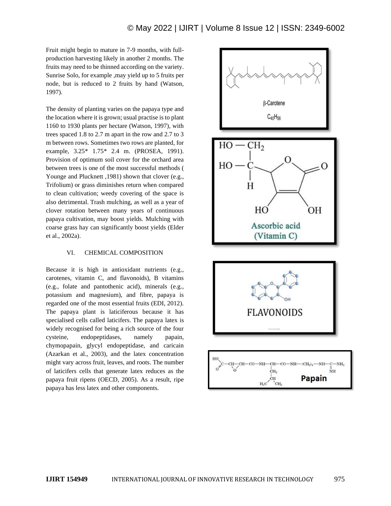Fruit might begin to mature in 7-9 months, with fullproduction harvesting likely in another 2 months. The fruits may need to be thinned according on the variety. Sunrise Solo, for example ,may yield up to 5 fruits per node, but is reduced to 2 fruits by hand (Watson, 1997).

The density of planting varies on the papaya type and the location where it is grown; usual practise is to plant 1160 to 1930 plants per hectare (Watson, 1997), with trees spaced 1.8 to 2.7 m apart in the row and 2.7 to 3 m between rows. Sometimes two rows are planted, for example, 3.25\* 1.75\* 2.4 m. (PROSEA, 1991). Provision of optimum soil cover for the orchard area between trees is one of the most successful methods ( Younge and Plucknett , 1981) shown that clover (e.g., Trifolium) or grass diminishes return when compared to clean cultivation; weedy covering of the space is also detrimental. Trash mulching, as well as a year of clover rotation between many years of continuous papaya cultivation, may boost yields. Mulching with coarse grass hay can significantly boost yields (Elder et al., 2002a).

#### VI. CHEMICAL COMPOSITION

Because it is high in antioxidant nutrients (e.g., carotenes, vitamin C, and flavonoids), B vitamins (e.g., folate and pantothenic acid), minerals (e.g., potassium and magnesium), and fibre, papaya is regarded one of the most essential fruits (EDI, 2012). The papaya plant is laticiferous because it has specialised cells called laticifers. The papaya latex is widely recognised for being a rich source of the four cysteine, endopeptidases, namely papain, chymopapain, glycyl endopeptidase, and caricain (Azarkan et al., 2003), and the latex concentration might vary across fruit, leaves, and roots. The number of laticifers cells that generate latex reduces as the papaya fruit ripens (OECD, 2005). As a result, ripe papaya has less latex and other components.

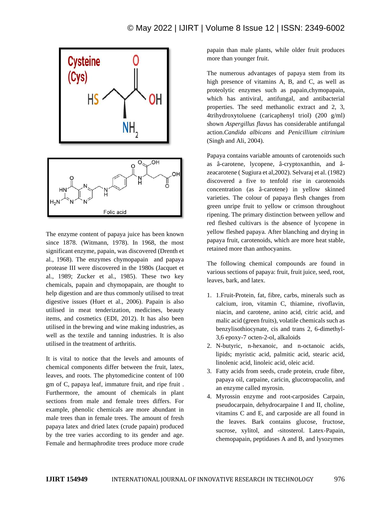

The enzyme content of papaya juice has been known since 1878. (Witmann, 1978). In 1968, the most significant enzyme, papain, was discovered (Drenth et al., 1968). The enzymes chymopapain and papaya protease III were discovered in the 1980s (Jacquet et al., 1989; Zucker et al., 1985). These two key chemicals, papain and chymopapain, are thought to help digestion and are thus commonly utilised to treat digestive issues (Huet et al., 2006). Papain is also utilised in meat tenderization, medicines, beauty items, and cosmetics (EDI, 2012). It has also been utilised in the brewing and wine making industries, as well as the textile and tanning industries. It is also utilised in the treatment of arthritis.

It is vital to notice that the levels and amounts of chemical components differ between the fruit, latex, leaves, and roots. The phytomedicine content of 100 gm of C, papaya leaf, immature fruit, and ripe fruit . Furthermore, the amount of chemicals in plant sections from male and female trees differs. For example, phenolic chemicals are more abundant in male trees than in female trees. The amount of fresh papaya latex and dried latex (crude papain) produced by the tree varies according to its gender and age. Female and hermaphrodite trees produce more crude papain than male plants, while older fruit produces more than younger fruit.

The numerous advantages of papaya stem from its high presence of vitamins A, B, and C, as well as proteolytic enzymes such as papain,chymopapain, which has antiviral, antifungal, and antibacterial properties. The seed methanolic extract and 2, 3, 4trihydroxytoluene (caricaphenyl triol) (200 g/ml) shown *Aspergillus flavus* has considerable antifungal action.*Candida albicans* and *Penicillium citrinium* (Singh and Ali, 2004).

Papaya contains variable amounts of carotenoids such as â-carotene, lycopene, â-cryptoxanthin, and âzeacarotene ( Sugiura et al,2002). Selvaraj et al. (1982) discovered a five to tenfold rise in carotenoids concentration (as â-carotene) in yellow skinned varieties. The colour of papaya flesh changes from green unripe fruit to yellow or crimson throughout ripening. The primary distinction between yellow and red fleshed cultivars is the absence of lycopene in yellow fleshed papaya. After blanching and drying in papaya fruit, carotenoids, which are more heat stable, retained more than anthocyanins.

The following chemical compounds are found in various sections of papaya: fruit, fruit juice, seed, root, leaves, bark, and latex.

- 1. 1.Fruit-Protein, fat, fibre, carbs, minerals such as calcium, iron, vitamin C, thiamine, rivoflavin, niacin, and carotene, anino acid, citric acid, and malic acid (green fruits), volatile chemicals such as benzylisothiocynate, cis and trans 2, 6-dimethyl-3,6 epoxy-7 octen-2-ol, alkaloids
- 2. N-butyric, n-hexanoic, and n-octanoic acids, lipids; myristic acid, palmitic acid, stearic acid, linolenic acid, linoleic acid, oleic acid.
- 3. Fatty acids from seeds, crude protein, crude fibre, papaya oil, carpaine, caricin, glucotropacolin, and an enzyme called myrosin.
- 4. Myrossin enzyme and root-carposides Carpain, pseudocarpain, dehydrocarpaine I and II, choline, vitamins C and E, and carposide are all found in the leaves. Bark contains glucose, fructose, sucrose, xylitol, and -sitosterol. Latex-Papain, chemopapain, peptidases A and B, and lysozymes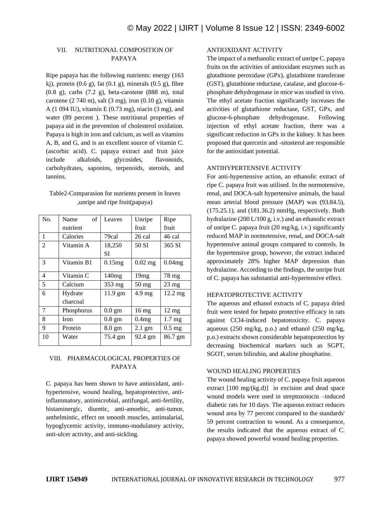## VII. NUTRITIONAL COMPOSITION OF PAPAYA

Ripe papaya has the following nutrients: energy (163 kj), protein  $(0.6 \text{ g})$ , fat  $(0.1 \text{ g})$ , minerals  $(0.5 \text{ g})$ , fibre (0.8 g), carbs (7.2 g), beta-carotene (888 m), total carotene  $(2740 \text{ m})$ , salt  $(3 \text{ mg})$ , iron  $(0.10 \text{ g})$ , vitamin A (1 094 IU), vitamin E (0.73 mg), niacin (3 mg), and water (89 percent ). These nutritional properties of papaya aid in the prevention of cholesterol oxidation. Papaya is high in iron and calcium, as well as vitamins A, B, and G, and is an excellent source of vitamin C. (ascorbic acid). C. papaya extract and fruit juice include alkaloids, glycosides, flavonoids, carbohydrates, saponins, terpenoids, steroids, and tannins.

| Table2-Comparasion for nutrients present in leaves |
|----------------------------------------------------|
| , unripe and ripe fruit (papaya)                   |

| No. | of<br>Name           | Leaves           | Unripe           | Ripe              |
|-----|----------------------|------------------|------------------|-------------------|
|     | nutrient             |                  | fruit            | fruit             |
| 1   | Calories             | 79cal            | 26 cal           | 46 cal            |
| 2   | Vitamin A            | 18,250           | 50 SI            | 365 SI            |
|     |                      | SІ               |                  |                   |
| 3   | Vitamin B1           | 0.15mg           | $0.02$ mg        | 0.04mg            |
| 4   | Vitamin <sub>C</sub> | 140mg            | 19 <sub>mg</sub> | 78 mg             |
| 5   | Calcium              | 353 mg           | 50 mg            | $23 \text{ mg}$   |
| 6   | Hydrate              | 11.9 gm          | $4.9$ mg         | 12.2 mg           |
|     | charcoal             |                  |                  |                   |
| 7   | Phosphorus           | $0.0 \text{ gm}$ | $16 \text{ mg}$  | $12 \text{ mg}$   |
| 8   | Iron                 | $0.8 \text{ gm}$ | 0.4mg            | 1.7 <sub>mg</sub> |
| 9   | Protein              | $8.0 \text{ gm}$ | $2.1 \text{ gm}$ | $0.5 \text{ mg}$  |
| 10  | Water                | 75.4 gm          | 92.4 gm          | 86.7 gm           |

### VIII. PHARMACOLOGICAL PROPERTIES OF PAPAYA

C. papaya has been shown to have antioxidant, antihypertensive, wound healing, hepatoprotective, antiinflammatory, antimicrobial, antifungal, anti-fertility, histaminergic, diuretic, anti-amoebic, anti-tumor, anthelmintic, effect on smooth muscles, antimalarial, hypoglycemic activity, immuno-modulatory activity, anti-ulcer activity, and anti-sickling.

#### ANTIOXIDANT ACTIVITY

The impact of a methanolic extract of unripe C. papaya fruits on the activities of antioxidant enzymes such as glutathione peroxidase (GPx), glutathione transferase (GST), glutathione reductase, catalase, and glucose-6 phosphate dehydrogenase in mice was studied in vivo. The ethyl acetate fraction significantly increases the activities of glutathione reductase, GST, GPx, and glucose-6-phosphate dehydrogenase. Following injection of ethyl acetate fraction, there was a significant reduction in GPx in the kidney. It has been proposed that quercetin and -sitosterol are responsible for the antioxidant potential.

#### ANTIHYPERTENSIVE ACTIVITY

For anti-hypertensive action, an ethanolic extract of ripe C. papaya fruit was utilised. In the normotensive, renal, and DOCA-salt hypertensive animals, the basal mean arterial blood pressure (MAP) was (93.84.5), (175.25.1), and (181.36.2) mmHg, respectively. Both hydralazine (200 L/100 g, i.v.) and an ethanolic extract of unripe C. papaya fruit (20 mg/kg, i.v.) significantly reduced MAP in normotensive, renal, and DOCA-salt hypertensive animal groups compared to controls. In the hypertensive group, however, the extract induced approximately 28% higher MAP depression than hydralazine. According to the findings, the unripe fruit of C. papaya has substantial anti-hypertensive effect.

#### HEPATOPROTECTIVE ACTIVITY

The aqueous and ethanol extracts of C. papaya dried fruit were tested for hepato protective efficacy in rats against CCl4-induced hepatotoxicity. C. papaya aqueous (250 mg/kg, p.o.) and ethanol (250 mg/kg, p.o.) extracts shown considerable hepatoprotection by decreasing biochemical markers such as SGPT, SGOT, serum bilirubin, and akaline phosphatise.

#### WOUND HEALING PROPERTIES

The wound healing activity of C. papaya fruit aqueous extract [100 mg/(kg.d)] in excision and dead space wound models were used in streptozotocin –induced diabetic rats for 10 days. The aqueous extract reduces wound area by 77 percent compared to the standards' 59 percent contraction to wound. As a consequence, the results indicated that the aqueous extract of C. papaya showed powerful wound healing properties.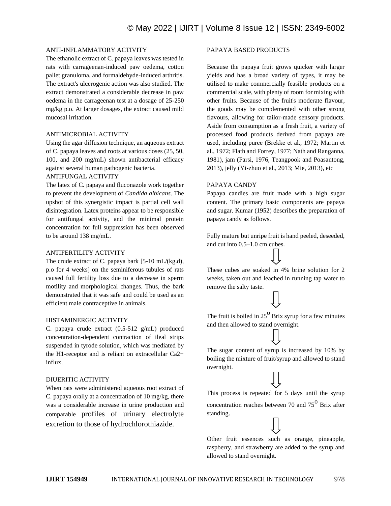#### ANTI-INFLAMMATORY ACTIVITY

The ethanolic extract of C. papaya leaves was tested in rats with carrageenan-induced paw oedema, cotton pallet granuloma, and formaldehyde-induced arthritis. The extract's ulcerogenic action was also studied. The extract demonstrated a considerable decrease in paw oedema in the carrageenan test at a dosage of 25-250 mg/kg p.o. At larger dosages, the extract caused mild mucosal irritation.

#### ANTIMICROBIAL ACTIVITY

Using the agar diffusion technique, an aqueous extract of C. papaya leaves and roots at various doses (25, 50, 100, and 200 mg/mL) shown antibacterial efficacy against several human pathogenic bacteria.

#### ANTIFUNGAL ACTIVITY

The latex of C. papaya and fluconazole work together to prevent the development of *Candida albicans*. The upshot of this synergistic impact is partial cell wall disintegration. Latex proteins appear to be responsible for antifungal activity, and the minimal protein concentration for full suppression has been observed to be around 138 mg/mL.

#### ANTIFERTILITY ACTIVITY

The crude extract of C. papaya bark [5-10 mL/(kg.d), p.o for 4 weeks] on the seminiferous tubules of rats caused full fertility loss due to a decrease in sperm motility and morphological changes. Thus, the bark demonstrated that it was safe and could be used as an efficient male contraceptive in animals.

#### HISTAMINERGIC ACTIVITY

C. papaya crude extract (0.5-512 g/mL) produced concentration-dependent contraction of ileal strips suspended in tyrode solution, which was mediated by the H1-receptor and is reliant on extracellular Ca2+ influx.

#### DIUERITIC ACTIVITY

When rats were administered aqueous root extract of C. papaya orally at a concentration of 10 mg/kg, there was a considerable increase in urine production and comparable profiles of urinary electrolyte excretion to those of hydrochlorothiazide.

#### PAPAYA BASED PRODUCTS

Because the papaya fruit grows quicker with larger yields and has a broad variety of types, it may be utilised to make commercially feasible products on a commercial scale, with plenty of room for mixing with other fruits. Because of the fruit's moderate flavour, the goods may be complemented with other strong flavours, allowing for tailor-made sensory products. Aside from consumption as a fresh fruit, a variety of processed food products derived from papaya are used, including puree (Brekke et al., 1972; Martin et al., 1972; Flath and Forrey, 1977; Nath and Ranganna, 1981), jam (Parsi, 1976, Teangpook and Poasantong, 2013), jelly (Yi-zhuo et al., 2013; Mie, 2013), etc

#### PAPAYA CANDY

Papaya candies are fruit made with a high sugar content. The primary basic components are papaya and sugar. Kumar (1952) describes the preparation of papaya candy as follows.

Fully mature but unripe fruit is hand peeled, deseeded, and cut into 0.5–1.0 cm cubes.

These cubes are soaked in 4% brine solution for 2 weeks, taken out and leached in running tap water to remove the salty taste.

The fruit is boiled in  $25^{\circ}$  Brix syrup for a few minutes and then allowed to stand overnight.

The sugar content of syrup is increased by 10% by boiling the mixture of fruit/syrup and allowed to stand overnight.

This process is repeated for 5 days until the syrup concentration reaches between 70 and  $75^{\circ}$  Brix after standing.

Other fruit essences such as orange, pineapple, raspberry, and strawberry are added to the syrup and allowed to stand overnight.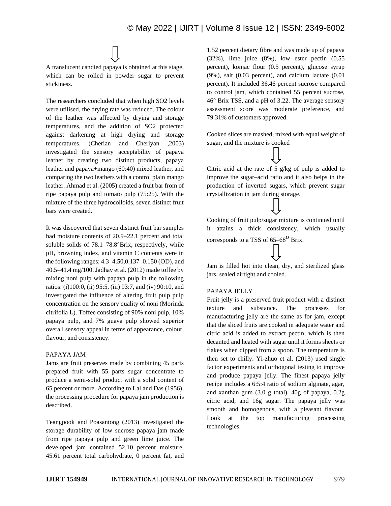# © May 2022 | IJIRT | Volume 8 Issue 12 | ISSN: 2349-6002



The researchers concluded that when high SO2 levels were utilised, the drying rate was reduced. The colour of the leather was affected by drying and storage temperatures, and the addition of SO2 protected against darkening at high drying and storage temperatures. (Cherian and Cheriyan ,2003) investigated the sensory acceptability of papaya leather by creating two distinct products, papaya leather and papaya+mango (60:40) mixed leather, and comparing the two leathers with a control plain mango leather. Ahmad et al. (2005) created a fruit bar from of ripe papaya pulp and tomato pulp (75:25). With the mixture of the three hydrocolloids, seven distinct fruit bars were created.

It was discovered that seven distinct fruit bar samples had moisture contents of 20.9–22.1 percent and total soluble solids of 78.1–78.8°Brix, respectively, while pH, browning index, and vitamin C contents were in the following ranges: 4.3–4.50,0.137–0.150 (OD), and 40.5–41.4 mg/100. Jadhav et al. (2012) made toffee by mixing noni pulp with papaya pulp in the following ratios: (i)100:0, (ii) 95:5, (iii) 93:7, and (iv) 90:10, and investigated the influence of altering fruit pulp pulp concentration on the sensory quality of noni (Morinda citrifolia L). Toffee consisting of 90% noni pulp, 10% papaya pulp, and 7% guava pulp showed superior overall sensory appeal in terms of appearance, colour, flavour, and consistency.

#### PAPAYA JAM

Jams are fruit preserves made by combining 45 parts prepared fruit with 55 parts sugar concentrate to produce a semi-solid product with a solid content of 65 percent or more. According to Lal and Das (1956), the processing procedure for papaya jam production is described.

Teangpook and Poasantong (2013) investigated the storage durability of low sucrose papaya jam made from ripe papaya pulp and green lime juice. The developed jam contained 52.10 percent moisture, 45.61 percent total carbohydrate, 0 percent fat, and 1.52 percent dietary fibre and was made up of papaya (32%), lime juice (8%), low ester pectin (0.55 percent), konjac flour (0.5 percent), glucose syrup (9%), salt (0.03 percent), and calcium lactate (0.01 percent). It included 36.46 percent sucrose compared to control jam, which contained 55 percent sucrose, 46° Brix TSS, and a pH of 3.22. The average sensory assessment score was moderate preference, and 79.31% of customers approved.

Cooked slices are mashed, mixed with equal weight of sugar, and the mixture is cooked

Citric acid at the rate of 5 g/kg of pulp is added to improve the sugar–acid ratio and it also helps in the production of inverted sugars, which prevent sugar crystallization in jam during storage.

Cooking of fruit pulp/sugar mixture is continued until it attains a thick consistency, which usually corresponds to a TSS of  $65-68^{\circ}$  Brix.

Jam is filled hot into clean, dry, and sterilized glass jars, sealed airtight and cooled.

#### PAPAYA JELLY

Fruit jelly is a preserved fruit product with a distinct texture and substance. The processes for manufacturing jelly are the same as for jam, except that the sliced fruits are cooked in adequate water and citric acid is added to extract pectin, which is then decanted and heated with sugar until it forms sheets or flakes when dipped from a spoon. The temperature is then set to chilly. Yi-zhuo et al. (2013) used single factor experiments and orthogonal testing to improve and produce papaya jelly. The finest papaya jelly recipe includes a 6:5:4 ratio of sodium alginate, agar, and xanthan gum (3.0 g total), 40g of papaya, 0.2g citric acid, and 16g sugar. The papaya jelly was smooth and homogenous, with a pleasant flavour. Look at the top manufacturing processing technologies.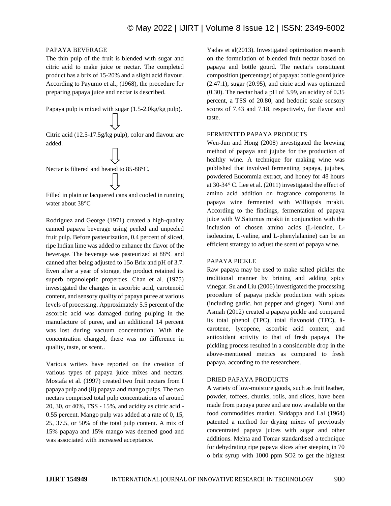#### PAPAYA BEVERAGE

The thin pulp of the fruit is blended with sugar and citric acid to make juice or nectar. The completed product has a brix of 15-20% and a slight acid flavour. According to Payumo et al., (1968), the procedure for preparing papaya juice and nectar is described.

Papaya pulp is mixed with sugar (1.5-2.0kg/kg pulp).



Nectar is filtered and heated to 85-88°C.

Filled in plain or lacquered cans and cooled in running water about 38°C

Rodriguez and George (1971) created a high-quality canned papaya beverage using peeled and unpeeled fruit pulp. Before pasteurization, 0.4 percent of sliced, ripe Indian lime was added to enhance the flavor of the beverage. The beverage was pasteurized at 88°C and canned after being adjusted to 15o Brix and pH of 3.7. Even after a year of storage, the product retained its superb organoleptic properties. Chan et al. (1975) investigated the changes in ascorbic acid, carotenoid content, and sensory quality of papaya puree at various levels of processing. Approximately 5.5 percent of the ascorbic acid was damaged during pulping in the manufacture of puree, and an additional 14 percent was lost during vacuum concentration. With the concentration changed, there was no difference in quality, taste, or scent..

Various writers have reported on the creation of various types of papaya juice mixes and nectars. Mostafa et al. (1997) created two fruit nectars from I papaya pulp and (ii) papaya and mango pulps. The two nectars comprised total pulp concentrations of around 20, 30, or 40%, TSS - 15%, and acidity as citric acid - 0.55 percent. Mango pulp was added at a rate of 0, 15, 25, 37.5, or 50% of the total pulp content. A mix of 15% papaya and 15% mango was deemed good and was associated with increased acceptance.

Yadav et al(2013). Investigated optimization research on the formulation of blended fruit nectar based on papaya and bottle gourd. The nectar's constituent composition (percentage) of papaya: bottle gourd juice (2.47:1), sugar (20.95), and citric acid was optimized (0.30). The nectar had a pH of 3.99, an acidity of 0.35 percent, a TSS of 20.80, and hedonic scale sensory scores of 7.43 and 7.18, respectively, for flavor and taste.

#### FERMENTED PAPAYA PRODUCTS

Wen-Jun and Hong (2008) investigated the brewing method of papaya and jujube for the production of healthy wine. A technique for making wine was published that involved fermenting papaya, jujubes, powdered Eucommia extract, and honey for 48 hours at 30-34° C. Lee et al. (2011) investigated the effect of amino acid addition on fragrance components in papaya wine fermented with Williopsis mrakii. According to the findings, fermentation of papaya juice with W.Saturnus mrakii in conjunction with the inclusion of chosen amino acids (L-leucine, Lisoleucine, L-valine, and L-phenylalanine) can be an efficient strategy to adjust the scent of papaya wine.

#### PAPAYA PICKLE

Raw papaya may be used to make salted pickles the traditional manner by brining and adding spicy vinegar. Su and Liu (2006) investigated the processing procedure of papaya pickle production with spices (including garlic, hot pepper and ginger). Nurul and Asmah (2012) created a papaya pickle and compared its total phenol (TPC), total flavonoid (TFC), âcarotene, lycopene, ascorbic acid content, and antioxidant activity to that of fresh papaya. The pickling process resulted in a considerable drop in the above-mentioned metrics as compared to fresh papaya, according to the researchers.

#### DRIED PAPAYA PRODUCTS

A variety of low-moisture goods, such as fruit leather, powder, toffees, chunks, rolls, and slices, have been made from papaya puree and are now available on the food commodities market. Siddappa and Lal (1964) patented a method for drying mixes of previously concentrated papaya juices with sugar and other additions. Mehta and Tomar standardised a technique for dehydrating ripe papaya slices after steeping in 70 o brix syrup with 1000 ppm SO2 to get the highest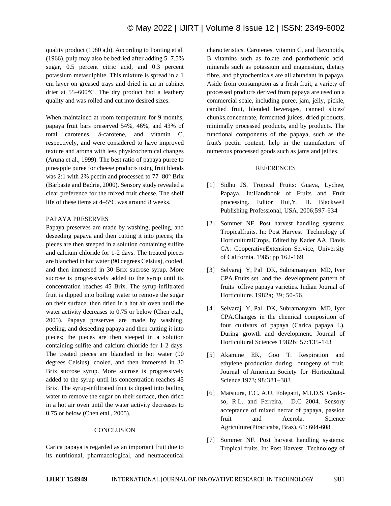quality product (1980 a,b). According to Ponting et al. (1966), pulp may also be bedried after adding 5–7.5% sugar, 0.5 percent citric acid, and 0.3 percent potassium metasulphite. This mixture is spread in a 1 cm layer on greased trays and dried in an in cabinet drier at 55–600°C. The dry product had a leathery quality and was rolled and cut into desired sizes.

When maintained at room temperature for 9 months, papaya fruit bars preserved 54%, 46%, and 43% of total carotenes, â-carotene, and vitamin C, respectively, and were considered to have improved texture and aroma with less physicochemical changes (Aruna et al., 1999). The best ratio of papaya puree to pineapple puree for cheese products using fruit blends was 2:1 with 2% pectin and processed to 77–80° Brix (Barbaste and Badrie, 2000). Sensory study revealed a clear preference for the mixed fruit cheese. The shelf life of these items at 4–5°C was around 8 weeks.

#### PAPAYA PRESERVES

Papaya preserves are made by washing, peeling, and deseeding papaya and then cutting it into pieces; the pieces are then steeped in a solution containing sulfite and calcium chloride for 1-2 days. The treated pieces are blanched in hot water (90 degrees Celsius), cooled, and then immersed in 30 Brix sucrose syrup. More sucrose is progressively added to the syrup until its concentration reaches 45 Brix. The syrup-infiltrated fruit is dipped into boiling water to remove the sugar on their surface, then dried in a hot air oven until the water activity decreases to 0.75 or below (Chen etal., 2005). Papaya preserves are made by washing, peeling, and deseeding papaya and then cutting it into pieces; the pieces are then steeped in a solution containing sulfite and calcium chloride for 1-2 days. The treated pieces are blanched in hot water (90 degrees Celsius), cooled, and then immersed in 30 Brix sucrose syrup. More sucrose is progressively added to the syrup until its concentration reaches 45 Brix. The syrup-infiltrated fruit is dipped into boiling water to remove the sugar on their surface, then dried in a hot air oven until the water activity decreases to 0.75 or below (Chen etal., 2005).

#### **CONCLUSION**

Carica papaya is regarded as an important fruit due to its nutritional, pharmacological, and neutraceutical characteristics. Carotenes, vitamin C, and flavonoids, B vitamins such as folate and panthothenic acid, minerals such as potassium and magnesium, dietary fibre, and phytochemicals are all abundant in papaya. Aside from consumption as a fresh fruit, a variety of processed products derived from papaya are used on a commercial scale, including puree, jam, jelly, pickle, candied fruit, blended beverages, canned slices/ chunks,concentrate, fermented juices, dried products, minimally processed products, and by products. The functional components of the papaya, such as the fruit's pectin content, help in the manufacture of numerous processed goods such as jams and jellies.

#### REFERENCES

- [1] Sidhu JS. Tropical Fruits: Guava, Lychee, Papaya. In:Handbook of Fruits and Fruit processing. Editor Hui,Y. H. Blackwell Publishing Professional, USA. 2006;597-634
- [2] Sommer NF. Post harvest handling systems: Tropicalfruits. In: Post Harvest Technology of HorticulturalCrops. Edited by Kader AA, Davis CA: CooperativeExtension Service, University of California. 1985; pp 162-169
- [3] Selvaraj Y, Pal DK, Subramanyam MD, Iyer CPA.Fruits set and the development pattern of fruits offive papaya varieties. Indian Journal of Horticulture. 1982a; 39; 50-56.
- [4] Selvaraj Y, Pal DK, Subramanyam MD, Iyer CPA.Changes in the chemical composition of four cultivars of papaya (Carica papaya L). During growth and development. Journal of Horticultural Sciences 1982b; 57:135-143
- [5] Akamine EK, Goo T. Respiration and ethylene production during ontogeny of fruit. Journal of American Society for Horticultural Science.1973; 98:381–383
- [6] Matsuura, F.C. A.U, Folegatti, M.I.D.S, Cardoso, R.L. and Ferreira, D.C 2004. Sensory acceptance of mixed nectar of papaya, passion fruit and Acerola. Science Agriculture(Piracicaba, Braz). 61: 604-608
- [7] Sommer NF. Post harvest handling systems: Tropical fruits. In: Post Harvest Technology of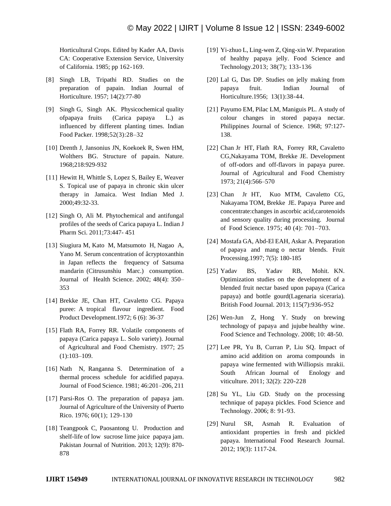Horticultural Crops. Edited by Kader AA, Davis CA: Cooperative Extension Service, University of California. 1985; pp 162-169.

- [8] Singh LB, Tripathi RD. Studies on the preparation of papain. Indian Journal of Horticulture. 1957; 14(2):77-80
- [9] Singh G, Singh AK. Physicochemical quality ofpapaya fruits (Carica papaya L.) as influenced by different planting times. Indian Food Packer. 1998;52(3):28–32
- [10] Drenth J, Jansonius JN, Koekoek R, Swen HM, Wolthers BG. Structure of papain. Nature. 1968;218:929-932
- [11] Hewitt H, Whittle S, Lopez S, Bailey E, Weaver S. Topical use of papaya in chronic skin ulcer therapy in Jamaica. West Indian Med J. 2000;49:32-33.
- [12] Singh O, Ali M. Phytochemical and antifungal profiles of the seeds of Carica papaya L. Indian J Pharm Sci. 2011;73:447- 451
- [13] Siugiura M, Kato M, Matsumoto H, Nagao A, Yano M. Serum concentration of âcryptoxanthin in Japan reflects the frequency of Satsuma mandarin (Citrusunshiu Marc.) consumption. Journal of Health Science. 2002; 48(4): 350– 353
- [14] Brekke JE, Chan HT, Cavaletto CG. Papaya puree: A tropical flavour ingredient. Food Product Development.1972; 6 (6): 36-37
- [15] Flath RA, Forrey RR. Volatile components of papaya (Carica papaya L. Solo variety). Journal of Agricultural and Food Chemistry. 1977; 25 (1):103–109.
- [16] Nath N, Ranganna S. Determination of a thermal process schedule for acidified papaya. Journal of Food Science. 1981; 46:201–206, 211
- [17] Parsi-Ros O. The preparation of papaya jam. Journal of Agriculture of the University of Puerto Rico. 1976; 60(1); 129-130
- [18] Teangpook C, Paosantong U. Production and shelf-life of low sucrose lime juice papaya jam. Pakistan Journal of Nutrition. 2013; 12(9): 870- 878
- [19] Yi-zhuo L, Ling-wen Z, Qing-xin W. Preparation of healthy papaya jelly. Food Science and Technology.2013; 38(7); 133-136
- [20] Lal G, Das DP. Studies on jelly making from papaya fruit. Indian Journal of Horticulture.1956; 13(1):38-44.
- [21] Payumo EM, Pilac LM, Maniguis PL. A study of colour changes in stored papaya nectar. Philippines Journal of Science. 1968; 97:127- 138.
- [22] Chan Jr HT, Flath RA, Forrey RR, Cavaletto CG,Nakayama TOM, Brekke JE. Development of off-odors and off-flavors in papaya puree. Journal of Agricultural and Food Chemistry 1973; 21(4):566–570
- [23] Chan Jr HT, Kuo MTM, Cavaletto CG, Nakayama TOM, Brekke JE. Papaya Puree and concentrate:changes in ascorbic acid,carotenoids and sensory quality during processing. Journal of Food Science. 1975; 40 (4): 701–703.
- [24] Mostafa GA, Abd-El EAH, Askar A. Preparation of papaya and mang o nectar blends. Fruit Processing.1997; 7(5): 180-185
- [25] Yadav BS, Yadav RB, Mohit. KN. Optimization studies on the development of a blended fruit nectar based upon papaya (Carica papaya) and bottle gourd(Lagenaria siceraria). British Food Journal. 2013; 115(7):936-952
- [26] Wen-Jun Z, Hong Y. Study on brewing technology of papaya and jujube healthy wine. Food Science and Technology. 2008; 10: 48-50.
- [27] Lee PR, Yu B, Curran P, Liu SQ. Impact of amino acid addition on aroma compounds in papaya wine fermented with Williopsis mrakii. South African Journal of Enology and viticulture. 2011; 32(2): 220-228
- [28] Su YL, Liu GD. Study on the processing technique of papaya pickles. Food Science and Technology. 2006; 8: 91-93.
- [29] Nurul SR, Asmah R. Evaluation of antioxidant properties in fresh and pickled papaya. International Food Research Journal. 2012; 19(3): 1117-24.